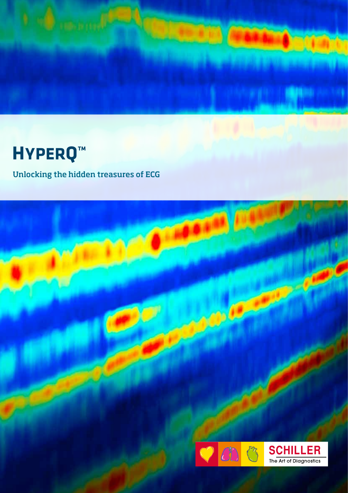

# **HYPERQ™**

# Unlocking the hidden treasures of ECG

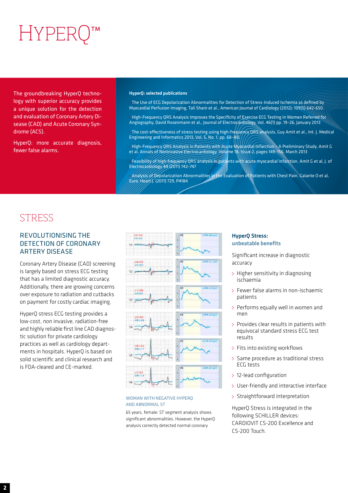# HYPERC

The groundbreaking HyperQ technology with superior accuracy provides a unique solution for the detection and evaluation of Coronary Artery Disease (CAD) and Acute Coronary Syndrome (ACS).

HyperQ: more accurate diagnosis, fewer false alarms.

#### HyperQ: selected publications

 The Use of ECG Depolarization Abnormalities for Detection of Stress-Induced Ischemia as defined by Myocardial Perfusion Imaging, Tali Sharir et al., American Journal of Cardiology (2012); 109(5) 642-650.

- High-Frequency QRS Analysis Improves the Specificity of Exercise ECG Testing in Women Referred for Angiography, David Rosenmann et al., Journal of Electrocardiology, Vol. 46(1) pp. 19–26, January 2013
- The cost-effectiveness of stress testing using high-frequency QRS analysis, Guy Amit et al., Int. J. Medical Engineering and Informatics 2013, Vol. 5, No. 1, pp. 68–80.
- High-Frequency QRS Analysis in Patients with Acute Myocardial Infarction A Preliminary Study. Amit G et al, Annals of Noninvasive Electrocardiology. Volume 18, Issue 2, pages 149–156, March 2013
- Feasibility of high-frequency QRS analysis in patients with acute myocardial infarction. Amit G et al, J. of Electrocardiology 44 (2011) 742–747

 Analysis of Depolarization Abnormalities in the Evaluation of Patients with Chest Pain. Galante O et al, Euro. Heart J. (2011) 729, P4184

# **STRESS**

## REVOLUTIONISING THE DETECTION OF CORONARY ARTERY DISEASE

Coronary Artery Disease (CAD) screening is largely based on stress ECG testing that has a limited diagnostic accuracy. Additionally, there are growing concerns over exposure to radiation and cutbacks on payment for costly cardiac imaging.

HyperQ stress ECG testing provides a low-cost, non invasive, radiation-free and highly reliable first line CAD diagnostic solution for private cardiology practices as well as cardiology departments in hospitals. HyperQ is based on solid scientific and clinical research and is FDA-cleared and CE-marked.



#### WOMAN WITH NEGATIVE HYPERO AND ABNORMAL ST

65 years, female: ST segment analysis shows significant abnormalities. However, the HyperQ analysis correctly detected normal coronary

### HyperQ Stress: unbeatable benefits

Significant increase in diagnostic accuracy

- : Higher sensitivity in diagnosing ischaemia
- Fewer false alarms in non-ischaemic patients
- Performs equally well in women and men
- : Provides clear results in patients with equivocal standard stress ECG test results
- : Fits into existing workflows
- : Same procedure as traditional stress ECG tests
- 12-lead configuration
- User-friendly and interactive interface
- : Straightforward interpretation

HyperQ Stress is integrated in the following SCHILLER devices: CARDIOVIT CS-200 Excellence and CS-200 Touch.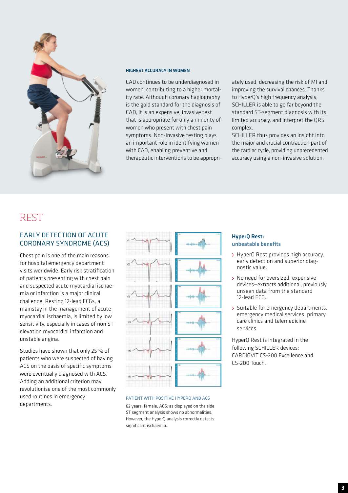

#### HIGHEST ACCURACY IN WOMEN

CAD continues to be underdiagnosed in women, contributing to a higher mortality rate. Although coronary hagiography is the gold standard for the diagnosis of CAD, it is an expensive, invasive test that is appropriate for only a minority of women who present with chest pain symptoms. Non-invasive testing plays an important role in identifying women with CAD, enabling preventive and therapeutic interventions to be appropriately used, decreasing the risk of MI and improving the survival chances. Thanks to HyperQ's high frequency analysis, SCHILLER is able to go far beyond the standard ST-segment diagnosis with its limited accuracy, and interpret the QRS complex.

SCHILLER thus provides an insight into the major and crucial contraction part of the cardiac cycle, providing unprecedented accuracy using a non-invasive solution.

## REST

## EARLY DETECTION OF ACUTE CORONARY SYNDROME (ACS)

Chest pain is one of the main reasons for hospital emergency department visits worldwide. Early risk stratification of patients presenting with chest pain and suspected acute myocardial ischaemia or infarction is a major clinical challenge. Resting 12-lead ECGs, a mainstay in the management of acute myocardial ischaemia, is limited by low sensitivity, especially in cases of non ST elevation myocardial infarction and unstable angina.

Studies have shown that only 25 % of patients who were suspected of having ACS on the basis of specific symptoms were eventually diagnosed with ACS. Adding an additional criterion may revolutionise one of the most commonly used routines in emergency departments.



#### PATIENT WITH POSITIVE HYPERQ AND ACS

62 years, female, ACS: as displayed on the side, ST segment analysis shows no abnormalities. However, the HyperQ analysis correctly detects significant ischaemia.

### HyperQ Rest: unbeatable benefits

- : HyperO Rest provides high accuracy. early detection and superior diagnostic value.
- : No need for oversized, expensive devices—extracts additional, previously unseen data from the standard 12-lead ECG.
- : Suitable for emergency departments, emergency medical services, primary care clinics and telemedicine services.

HyperQ Rest is integrated in the following SCHILLER devices: CARDIOVIT CS-200 Excellence and CS-200 Touch.